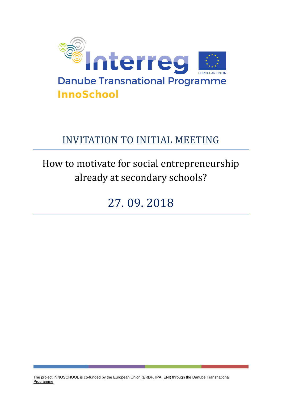

## INVITATION TO INITIAL MEETING

# How to motivate for social entrepreneurship already at secondary schools?

27. 09. 2018

[The project INNOSCHOOL is co-funded by the European Union \(ERDF, IPA, ENI\) through the Danube Transnational](http://www.interreg-danube.eu/approved-projects/innoschool)  [Programme](http://www.interreg-danube.eu/approved-projects/innoschool)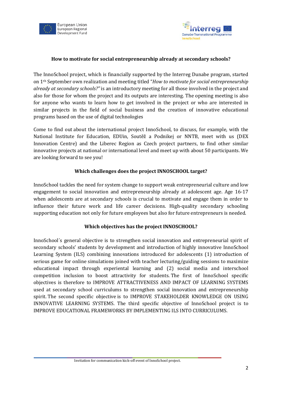



## **How to motivate for social entrepreneurship already at secondary schools?**

The InnoSchool project, which is financially supported by the Interreg Dunabe program, started on 1th September own realization and meeting titled "*How to motivate for social entrepreneurship already at secondary schools?"* is an introductory meeting for all those involved in the project and also for those for whom the project and its outputs are interesting. The opening meeting is also for anyone who wants to learn how to get involved in the project or who are interested in similar projects in the field of social business and the creation of innovative educational programs based on the use of digital technologies

Come to find out about the international project InnoSchool, to discuss, for example, with the National Institute for Education, EDUin, Soutěž a Podnikej or NNTB, meet with us (DEX Innovation Centre) and the Liberec Region as Czech project partners, to find other similar innovative projects at national or international level and meet up with about 50 participants. We are looking forward to see you!

### **Which challenges does the project INNOSCHOOL target?**

InnoSchool tackles the need for system change to support weak entrepreneurial culture and low engagement to social innovation and entrepreneurship already at adolescent age. Age 16-17 when adolescents are at secondary schools is crucial to motivate and engage them in order to influence their future work and life career decisions. High-quality secondary schooling supporting education not only for future employees but also for future entrepreneurs is needed.

## **Which objectives has the project INNOSCHOOL?**

InnoSchool´s general objective is to strengthen social innovation and entrepreneurial spirit of secondary schools' students by development and introduction of highly innovative InnoSchool Learning System (ILS) combining innovations introduced for adolescents (1) introduction of serious game for online simulations joined with teacher lecturing/guiding sessions to maximize educational impact through experiental learning and (2) social media and interschool competition inclusion to boost attractivity for students. The first of InnoSchool specific objectives is therefore to IMPROVE ATTRACTIVENESS AND IMPACT OF LEARNING SYSTEMS used at secondary school curriculums to strengthen social innovation and entrepreneurship spirit. The second specific objective is to IMPROVE STAKEHOLDER KNOWLEDGE ON USING INNOVATIVE LEARNING SYSTEMS. The third specific objective of InnoSchool project is to IMPROVE EDUCATIONAL FRAMEWORKS BY IMPLEMENTING ILS INTO CURRICULUMS.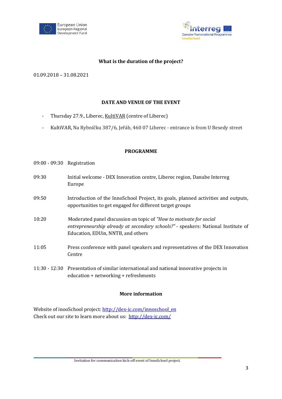



## **What is the duration of the project?**

01.09.2018 – 31.08.2021

## **DATE AND VENUE OF THE EVENT**

- Thursday 27.9., Liberec, [KultiVAR](http://www.kultivar.xyz/) (centre of Liberec)
- KultiVAR, Na Rybníčku 387/6, Jeřáb, 460 07 Liberec entrance is from U Besedy street

#### **PROGRAMME**

- 09:00 09:30 Registration
- 09:30 Initial welcome DEX Innovation centre, Liberec region, Danube Interreg Europe
- 09:50 Introduction of the InnoSchool Project, its goals, planned activities and outputs, opportunities to get engaged for different target groups
- 10:20 Moderated panel discussion on topic of *"How to motivate for social entrepreneurship already at secondary schools?"* - speakers: National Institute of Education, EDUin, NNTB, and others
- 11:05 Press conference with panel speakers and representatives of the DEX Innovation Centre
- 11:30 12:30 Presentation of similar international and national innovative projects in education + networking + refreshments

#### **More information**

Website of inooSchool project: [http://dex-ic.com/innoschool\\_en](http://dex-ic.com/innoschool_en) Check out our site to learn more about us: <http://dex-ic.com/>

Invitation for communication kick-off event of InnoSchool project.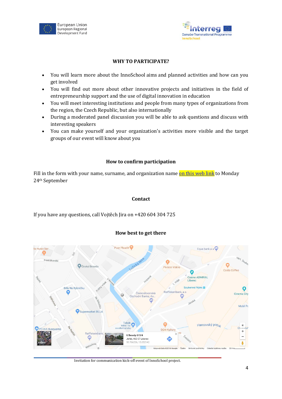



## **WHY TO PARTICIPATE?**

- You will learn more about the InnoSchool aims and planned activities and how can you get involved
- You will find out more about other innovative projects and initiatives in the field of entrepreneurship support and the use of digital innovation in education
- You will meet interesting institutions and people from many types of organizations from the region, the Czech Republic, but also internationally
- During a moderated panel discussion you will be able to ask questions and discuss with interesting speakers
- You can make yourself and your organization's activities more visible and the target groups of our event will know about you

## **How to confirm participation**

Fill in the form with your name, surname, and organization name [on this web link](https://docs.google.com/forms/d/e/1FAIpQLSfoqYmz2jIdzTi0eJH2b2Fu5NOx1irM64J3X9t9GN-kI0Eu_Q/viewform?c=0&w=1) to Monday 24th September

## **Contact**

If you have any questions, call Vojtěch Jira on +420 604 304 725

## **How best to get there**



Invitation for communication kick-off event of InnoSchool project.